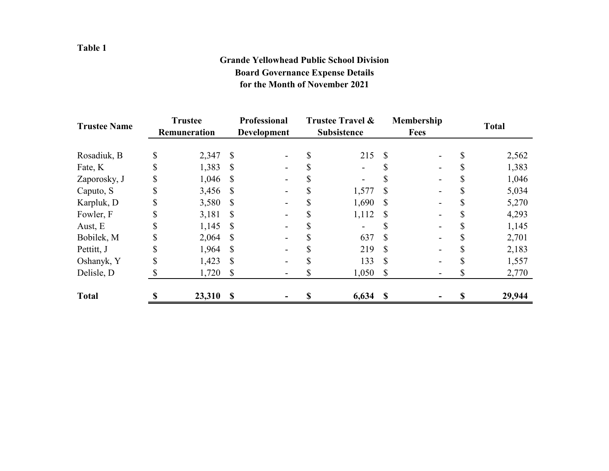### **Table 1**

## **Grande Yellowhead Public School Division Board Governance Expense Details for the Month of November 2021**

| <b>Trustee Name</b> | <b>Trustee</b><br>Remuneration |        | Professional<br><b>Development</b> |  | <b>Trustee Travel &amp;</b><br><b>Subsistence</b> |                          | <b>Membership</b><br><b>Fees</b> |  | <b>Total</b> |        |  |
|---------------------|--------------------------------|--------|------------------------------------|--|---------------------------------------------------|--------------------------|----------------------------------|--|--------------|--------|--|
| Rosadiuk, B         | \$                             | 2,347  | \$                                 |  |                                                   | 215                      | S                                |  |              | 2,562  |  |
| Fate, K             | \$                             | 1,383  | S                                  |  |                                                   | $\overline{\phantom{a}}$ |                                  |  |              | 1,383  |  |
| Zaporosky, J        | \$                             | 1,046  | S                                  |  |                                                   |                          |                                  |  |              | 1,046  |  |
| Caputo, S           | \$                             | 3,456  | <sup>S</sup>                       |  |                                                   | 1,577                    | \$                               |  |              | 5,034  |  |
| Karpluk, D          | \$                             | 3,580  | S                                  |  |                                                   | 1,690                    | S                                |  |              | 5,270  |  |
| Fowler, F           | JЭ.                            | 3,181  | <b>S</b>                           |  |                                                   | 1,112                    | S                                |  |              | 4,293  |  |
| Aust, E             | \$                             | 1,145  | S                                  |  |                                                   |                          |                                  |  |              | 1,145  |  |
| Bobilek, M          | \$                             | 2,064  | S                                  |  |                                                   | 637                      | S                                |  |              | 2,701  |  |
| Pettitt, J          |                                | 1,964  |                                    |  |                                                   | 219                      | S                                |  |              | 2,183  |  |
| Oshanyk, Y          | J.                             | 1,423  | S                                  |  |                                                   | 133                      | \$                               |  |              | 1,557  |  |
| Delisle, D          |                                | 1,720  | S                                  |  |                                                   | 1,050                    | \$                               |  |              | 2,770  |  |
| <b>Total</b>        |                                | 23,310 | $\mathbf S$                        |  |                                                   | 6,634                    | $\boldsymbol{\mathsf{S}}$        |  |              | 29,944 |  |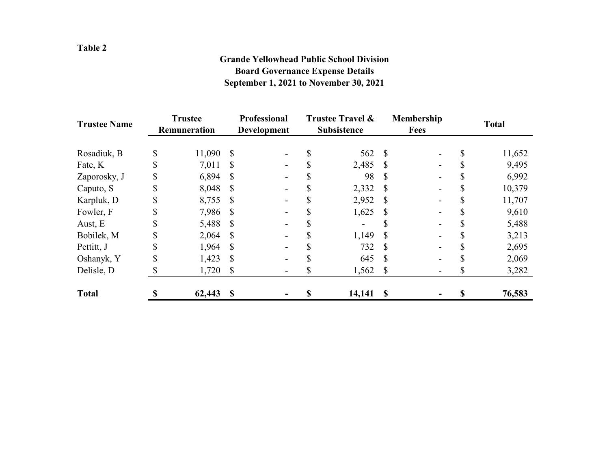# **Board Governance Expense Details September 1, 2021 to November 30, 2021 Grande Yellowhead Public School Division**

| <b>Trustee Name</b> | <b>Trustee</b><br>Remuneration |        | <b>Professional</b><br>Development |  | Trustee Travel &<br><b>Subsistence</b> |                          |              | Membership<br>Fees | <b>Total</b> |        |  |
|---------------------|--------------------------------|--------|------------------------------------|--|----------------------------------------|--------------------------|--------------|--------------------|--------------|--------|--|
| Rosadiuk, B         | \$                             | 11,090 | \$                                 |  |                                        | 562 \$                   |              |                    | \$           | 11,652 |  |
| Fate, K             | \$                             | 7,011  | S                                  |  |                                        | 2,485                    | <sup>S</sup> |                    |              | 9,495  |  |
| Zaporosky, J        |                                | 6,894  |                                    |  |                                        | 98                       | -S           |                    |              | 6,992  |  |
| Caputo, S           | J.                             | 8,048  |                                    |  |                                        | 2,332 \$                 |              |                    | J)           | 10,379 |  |
| Karpluk, D          | S                              | 8,755  | S                                  |  |                                        | 2,952                    | <sup>S</sup> |                    |              | 11,707 |  |
| Fowler, F           | 77                             | 7,986  |                                    |  |                                        | 1,625                    | <sup>S</sup> |                    |              | 9,610  |  |
| Aust, E             | S                              | 5,488  | S                                  |  |                                        | $\overline{\phantom{a}}$ |              |                    |              | 5,488  |  |
| Bobilek, M          | J.                             | 2,064  | S                                  |  |                                        | 1,149                    | <sup>S</sup> |                    |              | 3,213  |  |
| Pettitt, J          | \$                             | 1,964  | S                                  |  |                                        | 732                      | <sup>S</sup> |                    |              | 2,695  |  |
| Oshanyk, Y          | J.                             | 1,423  | \$                                 |  |                                        | 645                      | S            |                    |              | 2,069  |  |
| Delisle, D          |                                | 1,720  | \$                                 |  |                                        | $1,562$ \$               |              |                    | \$           | 3,282  |  |
| <b>Total</b>        |                                | 62,443 | S                                  |  |                                        | $14,141$ \$              |              |                    | S            | 76,583 |  |